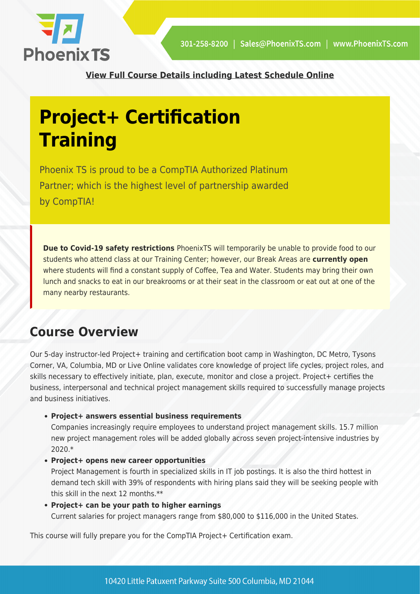

**[View Full Course Details including Latest Schedule Online](https://phoenixts.com/training-courses/project-certification-training/)**

# **Project+ Certification Training**

Phoenix TS is proud to be a CompTIA Authorized Platinum Partner; which is the highest level of partnership awarded by CompTIA!

**Due to Covid-19 safety restrictions** PhoenixTS will temporarily be unable to provide food to our students who attend class at our Training Center; however, our Break Areas are **currently open** where students will find a constant supply of Coffee, Tea and Water. Students may bring their own lunch and snacks to eat in our breakrooms or at their seat in the classroom or eat out at one of the many nearby restaurants.

## **Course Overview**

Our 5-day instructor-led Project+ training and certification boot camp in Washington, DC Metro, Tysons Corner, VA, Columbia, MD or Live Online validates core knowledge of project life cycles, project roles, and skills necessary to effectively initiate, plan, execute, monitor and close a project. Project+ certifies the business, interpersonal and technical project management skills required to successfully manage projects and business initiatives.

**Project+ answers essential business requirements**

Companies increasingly require employees to understand project management skills. 15.7 million new project management roles will be added globally across seven project-intensive industries by 2020.\*

**Project+ opens new career opportunities**

Project Management is fourth in specialized skills in IT job postings. It is also the third hottest in demand tech skill with 39% of respondents with hiring plans said they will be seeking people with this skill in the next 12 months.\*\*

**Project+ can be your path to higher earnings** Current salaries for project managers range from \$80,000 to \$116,000 in the United States.

This course will fully prepare you for the CompTIA Project+ Certification exam.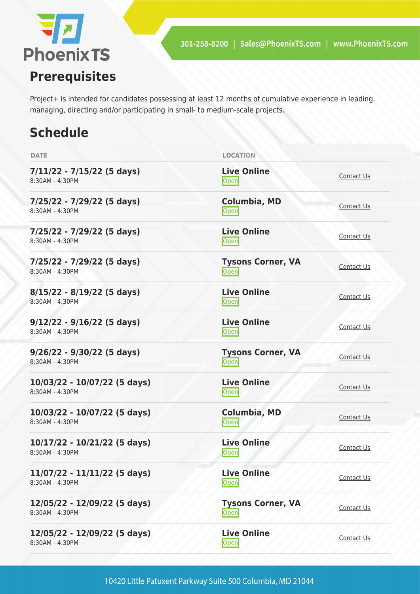

Project+ is intended for candidates possessing at least 12 months of cumulative experience in leading, managing, directing and/or participating in small- to medium-scale projects.

# **Schedule**

| <b>DATE</b>                                       | <b>LOCATION</b>                        |                   |
|---------------------------------------------------|----------------------------------------|-------------------|
| $7/11/22 - 7/15/22$ (5 days)<br>8:30AM - 4:30PM   | <b>Live Online</b><br><b>Open</b>      | Contact Us        |
| 7/25/22 - 7/29/22 (5 days)<br>8:30AM - 4:30PM     | <b>Columbia, MD</b><br>Open            | Contact Us        |
| 7/25/22 - 7/29/22 (5 days)<br>8:30AM - 4:30PM     | <b>Live Online</b><br><b>Open</b>      | Contact Us        |
| 7/25/22 - 7/29/22 (5 days)<br>8:30AM - 4:30PM     | <b>Tysons Corner, VA</b><br>Open       | Contact Us        |
| $8/15/22 - 8/19/22$ (5 days)<br>8:30AM - 4:30PM   | <b>Live Online</b><br>Open             | <b>Contact Us</b> |
| $9/12/22 - 9/16/22$ (5 days)<br>8:30AM - 4:30PM   | <b>Live Online</b><br>Open             | Contact Us        |
| $9/26/22 - 9/30/22$ (5 days)<br>8:30AM - 4:30PM   | <b>Tysons Corner, VA</b><br>Open       | <b>Contact Us</b> |
| 10/03/22 - 10/07/22 (5 days)<br>8:30AM - 4:30PM   | <b>Live Online</b><br>Open             | Contact Us        |
| 10/03/22 - 10/07/22 (5 days)<br>8:30AM - 4:30PM   | <b>Columbia, MD</b><br>$\mathsf{Open}$ | Contact Us        |
| 10/17/22 - 10/21/22 (5 days)<br>8:30AM - 4:30PM   | <b>Live Online</b><br>Open             | Contact Us        |
| $11/07/22 - 11/11/22$ (5 days)<br>8:30AM - 4:30PM | <b>Live Online</b><br>Open             | <b>Contact Us</b> |
| 12/05/22 - 12/09/22 (5 days)<br>8:30AM - 4:30PM   | <b>Tysons Corner, VA</b><br>Open       | <b>Contact Us</b> |
| 12/05/22 - 12/09/22 (5 days)<br>8:30AM - 4:30PM   | <b>Live Online</b><br>Open             | <b>Contact Us</b> |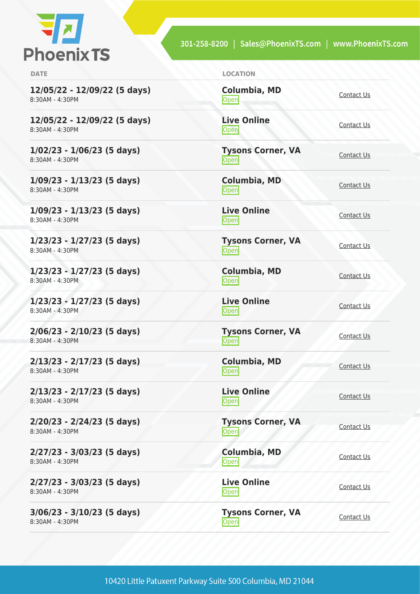

| × |  |  |
|---|--|--|
|   |  |  |

**12/05/22 - 12/09/22 (5 days)** 8:30AM - 4:30PM

**12/05/22 - 12/09/22 (5 days)** 8:30AM - 4:30PM

**1/02/23 - 1/06/23 (5 days)** 8:30AM - 4:30PM

**1/09/23 - 1/13/23 (5 days)** 8:30AM - 4:30PM

**1/09/23 - 1/13/23 (5 days)** 8:30AM - 4:30PM

**1/23/23 - 1/27/23 (5 days)** 8:30AM - 4:30PM

**1/23/23 - 1/27/23 (5 days)** 8:30AM - 4:30PM

**1/23/23 - 1/27/23 (5 days)** 8:30AM - 4:30PM

**2/06/23 - 2/10/23 (5 days)** 8:30AM - 4:30PM

**2/13/23 - 2/17/23 (5 days)** 8:30AM - 4:30PM

**2/13/23 - 2/17/23 (5 days)** 8:30AM - 4:30PM

**2/20/23 - 2/24/23 (5 days)** 8:30AM - 4:30PM

**2/27/23 - 3/03/23 (5 days)** 8:30AM - 4:30PM

**2/27/23 - 3/03/23 (5 days)** 8:30AM - 4:30PM

**3/06/23 - 3/10/23 (5 days)** 8:30AM - 4:30PM

LOCATION

**Columbia, MD** [Contact Us](https://phoenixts.com/schedule/more-info/?class=25238)<br>Open

**Live Online [Contact Us](https://phoenixts.com/schedule/more-info/?class=26113)** 

**Tysons Corner, VA Open** [Contact Us](https://phoenixts.com/schedule/more-info/?class=28206) Contact Us

**Columbia, MD** [Contact Us](https://phoenixts.com/schedule/more-info/?class=28208)<br>Open

**Live Online** <u>[Contact Us](https://phoenixts.com/schedule/more-info/?class=28210)</u>

**Tysons Corner, VA Open** [Contact Us](https://phoenixts.com/schedule/more-info/?class=28207) Contact Us

**Columbia, MD** [Contact Us](https://phoenixts.com/schedule/more-info/?class=28209)<br>Open

**Live Online** <u>Open</u> [Contact Us](https://phoenixts.com/schedule/more-info/?class=28211)

**Tysons Corner, VA Open** [Contact Us](https://phoenixts.com/schedule/more-info/?class=29654)

**Columbia, MD** [Contact Us](https://phoenixts.com/schedule/more-info/?class=29676)<br>Open

**Live Online** <u>[Contact Us](https://phoenixts.com/schedule/more-info/?class=29698)</u>

**Tysons Corner, VA** Open [Contact Us](https://phoenixts.com/schedule/more-info/?class=29655)

**Columbia, MD**

[Contact Us](https://phoenixts.com/schedule/more-info/?class=29677) **Live Online**

**[Contact Us](https://phoenixts.com/schedule/more-info/?class=29699) Tysons Corner, VA**

**Open** [Contact Us](https://phoenixts.com/schedule/more-info/?class=29656)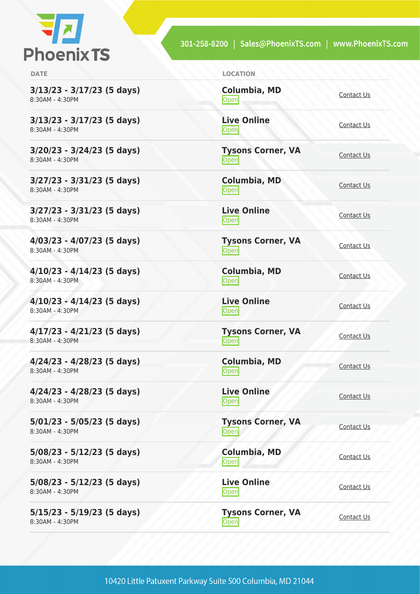

**3/13/23 - 3/17/23 (5 days)** 8:30AM - 4:30PM

**3/13/23 - 3/17/23 (5 days)** 8:30AM - 4:30PM

**3/20/23 - 3/24/23 (5 days)** 8:30AM - 4:30PM

**3/27/23 - 3/31/23 (5 days)** 8:30AM - 4:30PM

**3/27/23 - 3/31/23 (5 days)** 8:30AM - 4:30PM

**4/03/23 - 4/07/23 (5 days)** 8:30AM - 4:30PM

**4/10/23 - 4/14/23 (5 days)** 8:30AM - 4:30PM

**4/10/23 - 4/14/23 (5 days)** 8:30AM - 4:30PM

**4/17/23 - 4/21/23 (5 days)** 8:30AM - 4:30PM

**4/24/23 - 4/28/23 (5 days)** 8:30AM - 4:30PM

**4/24/23 - 4/28/23 (5 days)** 8:30AM - 4:30PM

**5/01/23 - 5/05/23 (5 days)** 8:30AM - 4:30PM

**5/08/23 - 5/12/23 (5 days)** 8:30AM - 4:30PM

**5/08/23 - 5/12/23 (5 days)** 8:30AM - 4:30PM

**5/15/23 - 5/19/23 (5 days)** 8:30AM - 4:30PM

**DATE LOCATION**

**Columbia, MD** [Contact Us](https://phoenixts.com/schedule/more-info/?class=29678)<br>Open

**Live Online [Contact Us](https://phoenixts.com/schedule/more-info/?class=29700)** 

**Tysons Corner, VA Open** [Contact Us](https://phoenixts.com/schedule/more-info/?class=29657) Contact Us

**Columbia, MD** [Contact Us](https://phoenixts.com/schedule/more-info/?class=29679)<br>Open

**Live Online** <u>[Contact Us](https://phoenixts.com/schedule/more-info/?class=29701)</u>

**Tysons Corner, VA Open** [Contact Us](https://phoenixts.com/schedule/more-info/?class=29658) Contact Us

**Columbia, MD** [Contact Us](https://phoenixts.com/schedule/more-info/?class=29680)<br>Open

**Live Online** <u>Open</u> [Contact Us](https://phoenixts.com/schedule/more-info/?class=29702)

**Tysons Corner, VA Open** [Contact Us](https://phoenixts.com/schedule/more-info/?class=29659)

**Columbia, MD** [Contact Us](https://phoenixts.com/schedule/more-info/?class=29681)<br>Open

**Live Online** <u>[Contact Us](https://phoenixts.com/schedule/more-info/?class=29703)</u>

**Tysons Corner, VA** Open [Contact Us](https://phoenixts.com/schedule/more-info/?class=29660)

**Columbia, MD** [Contact Us](https://phoenixts.com/schedule/more-info/?class=29682)

**Live Online [Contact Us](https://phoenixts.com/schedule/more-info/?class=29704)** 

**Tysons Corner, VA Open** [Contact Us](https://phoenixts.com/schedule/more-info/?class=29661)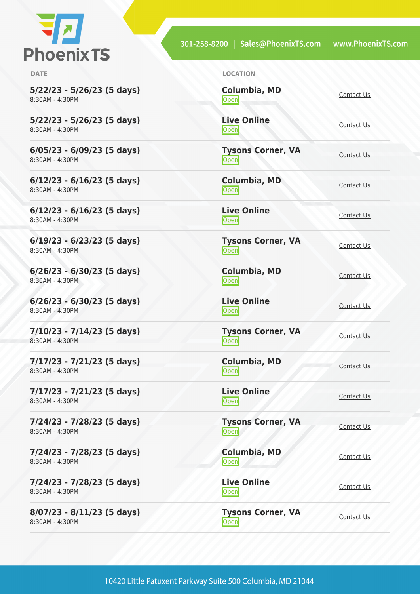

**5/22/23 - 5/26/23 (5 days)** 8:30AM - 4:30PM

**5/22/23 - 5/26/23 (5 days)** 8:30AM - 4:30PM

**6/05/23 - 6/09/23 (5 days)** 8:30AM - 4:30PM

**6/12/23 - 6/16/23 (5 days)** 8:30AM - 4:30PM

**6/12/23 - 6/16/23 (5 days)** 8:30AM - 4:30PM

**6/19/23 - 6/23/23 (5 days)** 8:30AM - 4:30PM

**6/26/23 - 6/30/23 (5 days)** 8:30AM - 4:30PM

**6/26/23 - 6/30/23 (5 days)** 8:30AM - 4:30PM

**7/10/23 - 7/14/23 (5 days)** 8:30AM - 4:30PM

**7/17/23 - 7/21/23 (5 days)** 8:30AM - 4:30PM

**7/17/23 - 7/21/23 (5 days)** 8:30AM - 4:30PM

**7/24/23 - 7/28/23 (5 days)** 8:30AM - 4:30PM

**7/24/23 - 7/28/23 (5 days)** 8:30AM - 4:30PM

**7/24/23 - 7/28/23 (5 days)** 8:30AM - 4:30PM

**8/07/23 - 8/11/23 (5 days)** 8:30AM - 4:30PM

**DATE LOCATION**

**Columbia, MD** [Contact Us](https://phoenixts.com/schedule/more-info/?class=29683)<br>Open

**Live Online [Contact Us](https://phoenixts.com/schedule/more-info/?class=29705)** 

**Tysons Corner, VA Open** [Contact Us](https://phoenixts.com/schedule/more-info/?class=29662) Contact Us

**Columbia, MD** [Contact Us](https://phoenixts.com/schedule/more-info/?class=29684)<br>Open

**Live Online** <u>[Contact Us](https://phoenixts.com/schedule/more-info/?class=29706)</u>

**Tysons Corner, VA Open** [Contact Us](https://phoenixts.com/schedule/more-info/?class=29663) Contact Us

**Columbia, MD** [Contact Us](https://phoenixts.com/schedule/more-info/?class=29685)<br>Open

**Live Online** <u>Open</u> [Contact Us](https://phoenixts.com/schedule/more-info/?class=29707)

**Tysons Corner, VA Open** [Contact Us](https://phoenixts.com/schedule/more-info/?class=29664)

**Columbia, MD** [Contact Us](https://phoenixts.com/schedule/more-info/?class=29686)<br>Open

**Live Online** <u>[Contact Us](https://phoenixts.com/schedule/more-info/?class=29708)</u>

**Tysons Corner, VA** Open [Contact Us](https://phoenixts.com/schedule/more-info/?class=29665)

**Columbia, MD** [Contact Us](https://phoenixts.com/schedule/more-info/?class=29687)

**Live Online [Contact Us](https://phoenixts.com/schedule/more-info/?class=29709)** 

**Tysons Corner, VA Open** [Contact Us](https://phoenixts.com/schedule/more-info/?class=29666)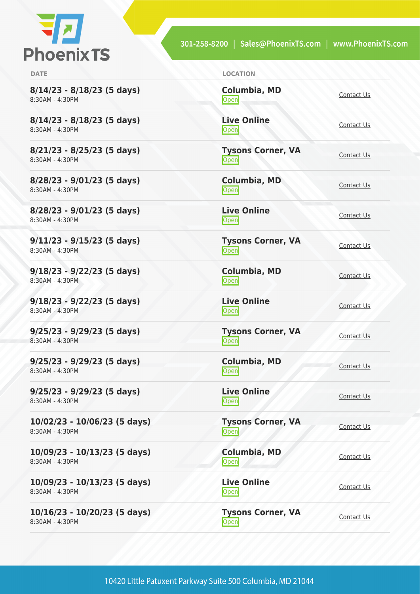

**8/14/23 - 8/18/23 (5 days)** 8:30AM - 4:30PM

**8/14/23 - 8/18/23 (5 days)** 8:30AM - 4:30PM

**8/21/23 - 8/25/23 (5 days)** 8:30AM - 4:30PM

**8/28/23 - 9/01/23 (5 days)** 8:30AM - 4:30PM

**8/28/23 - 9/01/23 (5 days)** 8:30AM - 4:30PM

**9/11/23 - 9/15/23 (5 days)** 8:30AM - 4:30PM

**9/18/23 - 9/22/23 (5 days)** 8:30AM - 4:30PM

**9/18/23 - 9/22/23 (5 days)** 8:30AM - 4:30PM

**9/25/23 - 9/29/23 (5 days)** 8:30AM - 4:30PM

**9/25/23 - 9/29/23 (5 days)** 8:30AM - 4:30PM

**9/25/23 - 9/29/23 (5 days)** 8:30AM - 4:30PM

**10/02/23 - 10/06/23 (5 days)** 8:30AM - 4:30PM

**10/09/23 - 10/13/23 (5 days)** 8:30AM - 4:30PM

**10/09/23 - 10/13/23 (5 days)** 8:30AM - 4:30PM

**10/16/23 - 10/20/23 (5 days)** 8:30AM - 4:30PM

**DATE LOCATION**

**Columbia, MD** [Contact Us](https://phoenixts.com/schedule/more-info/?class=29688)<br>Open

**Live Online** <u>Open</u> [Contact Us](https://phoenixts.com/schedule/more-info/?class=29710)

**Tysons Corner, VA Open** [Contact Us](https://phoenixts.com/schedule/more-info/?class=29667) Contact Us

**Columbia, MD** [Contact Us](https://phoenixts.com/schedule/more-info/?class=29689)<br>Open

**Live Online** <u>[Contact Us](https://phoenixts.com/schedule/more-info/?class=29711)</u>

**Tysons Corner, VA Open** [Contact Us](https://phoenixts.com/schedule/more-info/?class=29668)

**Columbia, MD** [Contact Us](https://phoenixts.com/schedule/more-info/?class=29690)<br>Open

**Open** [Contact Us](https://phoenixts.com/schedule/more-info/?class=29669)

**Columbia, MD** [Contact Us](https://phoenixts.com/schedule/more-info/?class=29691)<br>Open

**Tysons Corner, VA** Open [Contact Us](https://phoenixts.com/schedule/more-info/?class=29670)

**Live Online** <u>Open</u> [Contact Us](https://phoenixts.com/schedule/more-info/?class=29712)

**Tysons Corner, VA**

**Live Online** <u>[Contact Us](https://phoenixts.com/schedule/more-info/?class=29713)</u>

**Columbia, MD** [Contact Us](https://phoenixts.com/schedule/more-info/?class=29692)

**Live Online**

**[Contact Us](https://phoenixts.com/schedule/more-info/?class=29714)** 

**Tysons Corner, VA Open** [Contact Us](https://phoenixts.com/schedule/more-info/?class=29671)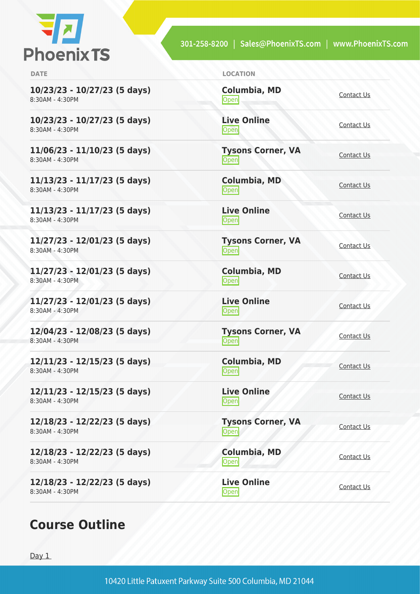

| <b>DATE</b>                                       | <b>LOCATION</b>                   |                   |
|---------------------------------------------------|-----------------------------------|-------------------|
| 10/23/23 - 10/27/23 (5 days)<br>8:30AM - 4:30PM   | Columbia, MD<br>Open              | Contact Us        |
| 10/23/23 - 10/27/23 (5 days)<br>8:30AM - 4:30PM   | <b>Live Online</b><br>Open        | Contact Us        |
| $11/06/23 - 11/10/23$ (5 days)<br>8:30AM - 4:30PM | <b>Tysons Corner, VA</b><br>Open  | Contact Us        |
| 11/13/23 - 11/17/23 (5 days)<br>8:30AM - 4:30PM   | <b>Columbia, MD</b><br>Open       | Contact Us        |
| 11/13/23 - 11/17/23 (5 days)<br>8:30AM - 4:30PM   | <b>Live Online</b><br><b>Open</b> | Contact Us        |
| 11/27/23 - 12/01/23 (5 days)<br>8:30AM - 4:30PM   | <b>Tysons Corner, VA</b><br>Open  | Contact Us        |
| $11/27/23 - 12/01/23$ (5 days)<br>8:30AM - 4:30PM | <b>Columbia, MD</b><br>Open       | Contact Us        |
| 11/27/23 - 12/01/23 (5 days)<br>8:30AM - 4:30PM   | <b>Live Online</b><br>Open        | Contact Us        |
| 12/04/23 - 12/08/23 (5 days)<br>8:30AM - 4:30PM   | <b>Tysons Corner, VA</b><br>Open  | Contact Us        |
| 12/11/23 - 12/15/23 (5 days)<br>8:30AM - 4:30PM   | <b>Columbia, MD</b><br>Open       | Contact Us        |
| 12/11/23 - 12/15/23 (5 days)<br>8:30AM - 4:30PM   | <b>Live Online</b><br>Open        | Contact Us        |
| 12/18/23 - 12/22/23 (5 days)<br>8:30AM - 4:30PM   | <b>Tysons Corner, VA</b><br>Open  | Contact Us        |
| 12/18/23 - 12/22/23 (5 days)<br>8:30AM - 4:30PM   | Columbia, MD<br>Open              | <b>Contact Us</b> |
| 12/18/23 - 12/22/23 (5 days)<br>8:30AM - 4:30PM   | <b>Live Online</b><br><b>Open</b> | Contact Us        |

# **Course Outline**

Day 1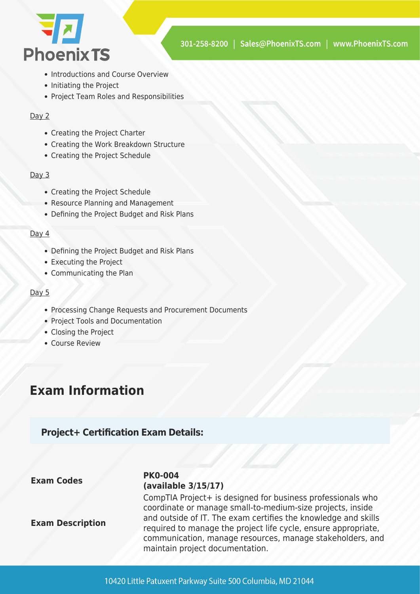

- Introductions and Course Overview
- Initiating the Project
- Project Team Roles and Responsibilities

#### Day 2

- Creating the Project Charter
- Creating the Work Breakdown Structure
- Creating the Project Schedule

#### Day 3

- Creating the Project Schedule
- Resource Planning and Management
- Defining the Project Budget and Risk Plans

#### Day 4

- Defining the Project Budget and Risk Plans
- Executing the Project
- Communicating the Plan

#### Day 5

- Processing Change Requests and Procurement Documents
- Project Tools and Documentation
- Closing the Project
- Course Review

## **Exam Information**

### **Project+ Certification Exam Details:**

#### **Exam Codes PK0-004 (available 3/15/17)**

**Exam Description**

CompTIA Project+ is designed for business professionals who coordinate or manage small-to-medium-size projects, inside and outside of IT. The exam certifies the knowledge and skills required to manage the project life cycle, ensure appropriate, communication, manage resources, manage stakeholders, and maintain project documentation.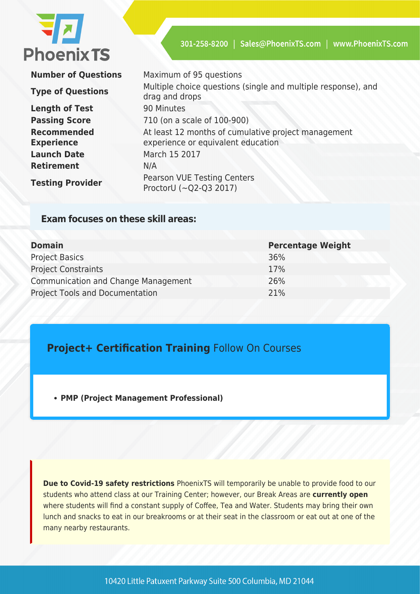

**Number of Questions** Maximum of 95 questions

**Length of Test** 90 Minutes **Recommended Experience Launch Date** March 15 2017 **Retirement** N/A

**Type of Questions** Multiple choice questions (single and multiple response), and drag and drops **Passing Score** 710 (on a scale of 100-900) At least 12 months of cumulative project management experience or equivalent education **Testing Provider** Pearson VUE Testing Centers ProctorU (~Q2-Q3 2017)

### **Exam focuses on these skill areas:**

| <b>Domain</b>                              | <b>Percentage Weight</b> |
|--------------------------------------------|--------------------------|
| <b>Project Basics</b>                      | 36%                      |
| <b>Project Constraints</b>                 | 17%                      |
| <b>Communication and Change Management</b> | 26%                      |
| <b>Project Tools and Documentation</b>     | 21%                      |

### **Project+ Certification Training** Follow On Courses

**[PMP \(Project Management Professional\)](https://phoenixts.com/training-courses/project-management-certification-maryland/)**

**Due to Covid-19 safety restrictions** PhoenixTS will temporarily be unable to provide food to our students who attend class at our Training Center; however, our Break Areas are **currently open** where students will find a constant supply of Coffee, Tea and Water. Students may bring their own lunch and snacks to eat in our breakrooms or at their seat in the classroom or eat out at one of the many nearby restaurants.